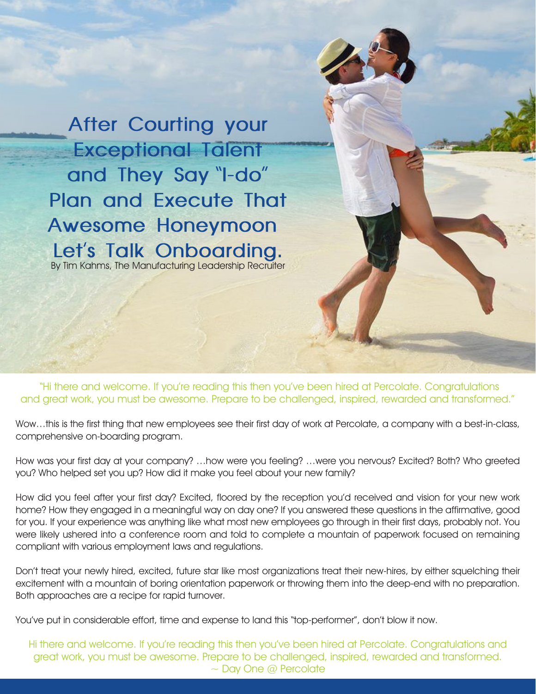**After Courting your Exceptional Talent and They Say** "**I-do**" **Plan and Execute That Awesome Honeymoon Let**'**s Talk Onboarding.**  By Tim Kahms, The Manufacturing Leadership Recruiter

 "Hi there and welcome. If you're reading this then you've been hired at Percolate. Congratulations and great work, you must be awesome. Prepare to be challenged, inspired, rewarded and transformed."

Wow…this is the first thing that new employees see their first day of work at Percolate, a company with a best-in-class, comprehensive on-boarding program.

How was your first day at your company? …how were you feeling? …were you nervous? Excited? Both? Who greeted you? Who helped set you up? How did it make you feel about your new family?

How did you feel after your first day? Excited, floored by the reception you'd received and vision for your new work home? How they engaged in a meaningful way on day one? If you answered these questions in the affirmative, good for you. If your experience was anything like what most new employees go through in their first days, probably not. You were likely ushered into a conference room and told to complete a mountain of paperwork focused on remaining compliant with various employment laws and regulations.

Don't treat your newly hired, excited, future star like most organizations treat their new-hires, by either squelching their excitement with a mountain of boring orientation paperwork or throwing them into the deep-end with no preparation. Both approaches are a recipe for rapid turnover.

You've put in considerable effort, time and expense to land this "top-performer", don't blow it now.

Hi there and welcome. If you're reading this then you've been hired at Percolate. Congratulations and great work, you must be awesome. Prepare to be challenged, inspired, rewarded and transformed.  $\sim$  Day One @ Percolate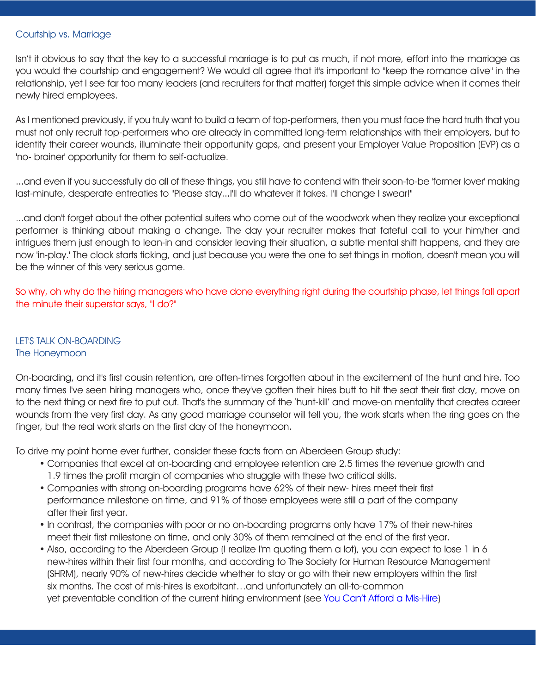#### Courtship vs. Marriage

Isn't it obvious to say that the key to a successful marriage is to put as much, if not more, effort into the marriage as you would the courtship and engagement? We would all agree that it's important to "keep the romance alive" in the relationship, yet I see far too many leaders (and recruiters for that matter) forget this simple advice when it comes their newly hired employees.

As I mentioned previously, if you truly want to build a team of top-performers, then you must face the hard truth that you must not only recruit top-performers who are already in committed long-term relationships with their employers, but to identify their career wounds, illuminate their opportunity gaps, and present your Employer Value Proposition (EVP) as a 'no- brainer' opportunity for them to self-actualize.

...and even if you successfully do all of these things, you still have to contend with their soon-to-be 'former lover' making last-minute, desperate entreaties to "Please stay...I'll do whatever it takes. I'll change I swear!"

...and don't forget about the other potential suiters who come out of the woodwork when they realize your exceptional performer is thinking about making a change. The day your recruiter makes that fateful call to your him/her and intrigues them just enough to lean-in and consider leaving their situation, a subtle mental shift happens, and they are now 'in-play.' The clock starts ticking, and just because you were the one to set things in motion, doesn't mean you will be the winner of this very serious game.

So why, oh why do the hiring managers who have done everything right during the courtship phase, let things fall apart the minute their superstar says, "I do?"

# LET'S TALK ON-BOARDING The Honeymoon

On-boarding, and it's first cousin retention, are often-times forgotten about in the excitement of the hunt and hire. Too many times I've seen hiring managers who, once they've gotten their hires butt to hit the seat their first day, move on to the next thing or next fire to put out. That's the summary of the 'hunt-kill' and move-on mentality that creates career wounds from the very first day. As any good marriage counselor will tell you, the work starts when the ring goes on the finger, but the real work starts on the first day of the honeymoon.

To drive my point home ever further, consider these facts from an Aberdeen Group study:

- Companies that excel at on-boarding and employee retention are 2.5 times the revenue growth and 1.9 times the profit margin of companies who struggle with these two critical skills.
- • Companies with strong on-boarding programs have 62% of their new- hires meet their first performance milestone on time, and 91% of those employees were still a part of the company after their first year.
- • In contrast, the companies with poor or no on-boarding programs only have 17% of their new-hires meet their first milestone on time, and only 30% of them remained at the end of the first year.
- Also, according to the Aberdeen Group (I realize I'm quoting them a lot), you can expect to lose 1 in 6 new-hires within their first four months, and according to The Society for Human Resource Management (SHRM), nearly 90% of new-hires decide whether to stay or go with their new employers within the first six months. The cost of mis-hires is exorbitant…and unfortunately an all-to-common yet preventable condition of the current hiring environment (see [You Can't Afford a Mis-Hire](https://890e95a8-76a7-446f-8894-ce4d71454961.filesusr.com/ugd/cb7c12_a768ffc270844719a1d97dfaf48494aa.pdf))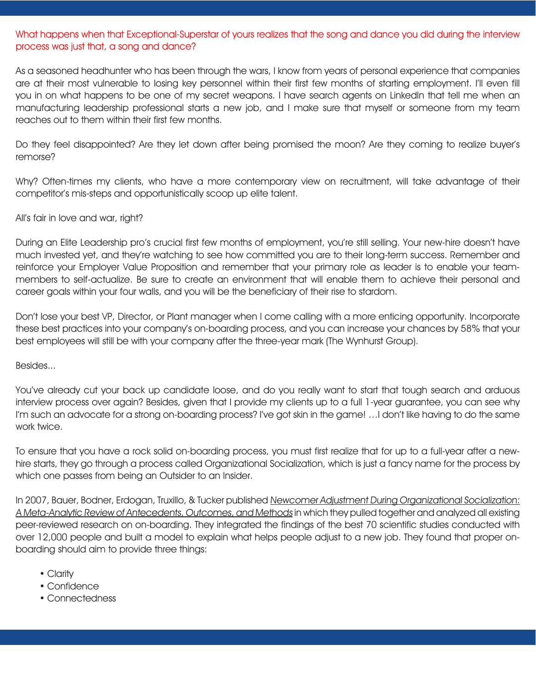# What happens when that Exceptional-Superstar of yours realizes that the song and dance you did during the interview process was just that, a song and dance?

As a seasoned headhunter who has been through the wars, I know from years of personal experience that companies are at their most vulnerable to losing key personnel within their first few months of starting employment. I'll even fill you in on what happens to be one of my secret weapons. I have search agents on LinkedIn that tell me when an manufacturing leadership professional starts a new job, and I make sure that myself or someone from my team reaches out to them within their first few months.

Do they feel disappointed? Are they let down after being promised the moon? Are they coming to realize buyer's remorse?

Why? Often-times my clients, who have a more contemporary view on recruitment, will take advantage of their competitor's mis-steps and opportunistically scoop up elite talent.

### All's fair in love and war, right?

During an Elite Leadership pro's crucial first few months of employment, you're still selling. Your new-hire doesn't have much invested yet, and they're watching to see how committed you are to their long-term success. Remember and reinforce your Employer Value Proposition and remember that your primary role as leader is to enable your teammembers to self-actualize. Be sure to create an environment that will enable them to achieve their personal and career goals within your four walls, and you will be the beneficiary of their rise to stardom.

Don't lose your best VP, Director, or Plant manager when I come calling with a more enticing opportunity. Incorporate these best practices into your company's on-boarding process, and you can increase your chances by 58% that your best employees will still be with your company after the three-year mark (The Wynhurst Group).

#### Besides...

You've already cut your back up candidate loose, and do you really want to start that tough search and arduous interview process over again? Besides, given that I provide my clients up to a full 1-year guarantee, you can see why I'm such an advocate for a strong on-boarding process? I've got skin in the game! …I don't like having to do the same work twice.

To ensure that you have a rock solid on-boarding process, you must first realize that for up to a full-year after a newhire starts, they go through a process called Organizational Socialization, which is just a fancy name for the process by which one passes from being an Outsider to an Insider.

In 2007, Bauer, Bodner, Erdogan, Truxillo, & Tucker published Newcomer Adjustment During Organizational Socialization: A Meta-Analytic Review of Antecedents, Outcomes, and Methods in which they pulled together and analyzed all existing peer-reviewed research on on-boarding. They integrated the findings of the best 70 scientific studies conducted with over 12,000 people and built a model to explain what helps people adjust to a new job. They found that proper onboarding should aim to provide three things:

- Clarity
- • Confidence
- • Connectedness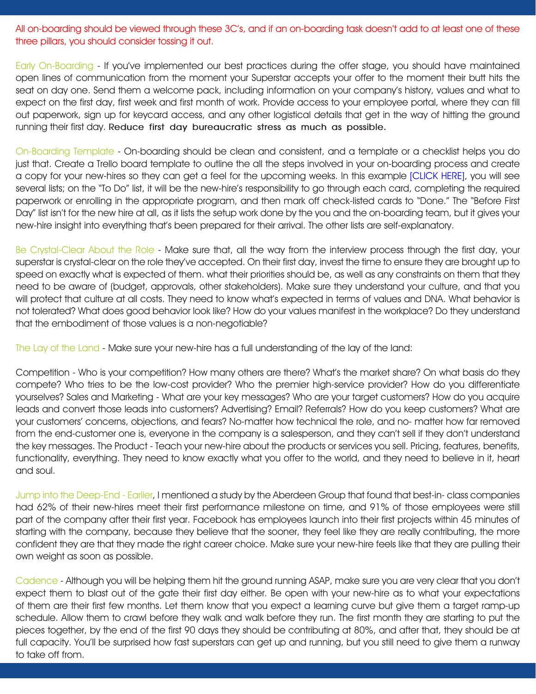All on-boarding should be viewed through these 3C's, and if an on-boarding task doesn't add to at least one of these three pillars, you should consider tossing it out.

Early On-Boarding - If you've implemented our best practices during the offer stage, you should have maintained open lines of communication from the moment your Superstar accepts your offer to the moment their butt hits the seat on day one. Send them a welcome pack, including information on your company's history, values and what to expect on the first day, first week and first month of work. Provide access to your employee portal, where they can fill out paperwork, sign up for keycard access, and any other logistical details that get in the way of hitting the ground running their first day. **Reduce first day bureaucratic stress as much as possible.**

On-Boarding Template - On-boarding should be clean and consistent, and a template or a checklist helps you do just that. Create a Trello board template to outline the all the steps involved in your on-boarding process and create a copy for your new-hires so they can get a feel for the upcoming weeks. In this example [\[CLICK HERE\],](https://trello.com/b/qr3AcASr/new-hire-onboarding) you will see several lists; on the "To Do" list, it will be the new-hire's responsibility to go through each card, completing the required paperwork or enrolling in the appropriate program, and then mark off check-listed cards to "Done." The "Before First Day" list isn't for the new hire at all, as it lists the setup work done by the you and the on-boarding team, but it gives your new-hire insight into everything that's been prepared for their arrival. The other lists are self-explanatory.

Be Crystal-Clear About the Role - Make sure that, all the way from the interview process through the first day, your superstar is crystal-clear on the role they've accepted. On their first day, invest the time to ensure they are brought up to speed on exactly what is expected of them. what their priorities should be, as well as any constraints on them that they need to be aware of (budget, approvals, other stakeholders). Make sure they understand your culture, and that you will protect that culture at all costs. They need to know what's expected in terms of values and DNA. What behavior is not tolerated? What does good behavior look like? How do your values manifest in the workplace? Do they understand that the embodiment of those values is a non-negotiable?

The Lay of the Land - Make sure your new-hire has a full understanding of the lay of the land:

Competition - Who is your competition? How many others are there? What's the market share? On what basis do they compete? Who tries to be the low-cost provider? Who the premier high-service provider? How do you differentiate yourselves? Sales and Marketing - What are your key messages? Who are your target customers? How do you acquire leads and convert those leads into customers? Advertising? Email? Referrals? How do you keep customers? What are your customers' concerns, objections, and fears? No-matter how technical the role, and no- matter how far removed from the end-customer one is, everyone in the company is a salesperson, and they can't sell if they don't understand the key messages. The Product - Teach your new-hire about the products or services you sell. Pricing, features, benefits, functionality, everything. They need to know exactly what you offer to the world, and they need to believe in it, heart and soul.

Jump into the Deep-End - Earlier, I mentioned a study by the Aberdeen Group that found that best-in- class companies had 62% of their new-hires meet their first performance milestone on time, and 91% of those employees were still part of the company after their first year. Facebook has employees launch into their first projects within 45 minutes of starting with the company, because they believe that the sooner, they feel like they are really contributing, the more confident they are that they made the right career choice. Make sure your new-hire feels like that they are pulling their own weight as soon as possible.

Cadence - Although you will be helping them hit the ground running ASAP, make sure you are very clear that you don't expect them to blast out of the gate their first day either. Be open with your new-hire as to what your expectations of them are their first few months. Let them know that you expect a learning curve but give them a target ramp-up schedule. Allow them to crawl before they walk and walk before they run. The first month they are starting to put the pieces together, by the end of the first 90 days they should be contributing at 80%, and after that, they should be at full capacity. You'll be surprised how fast superstars can get up and running, but you still need to give them a runway to take off from.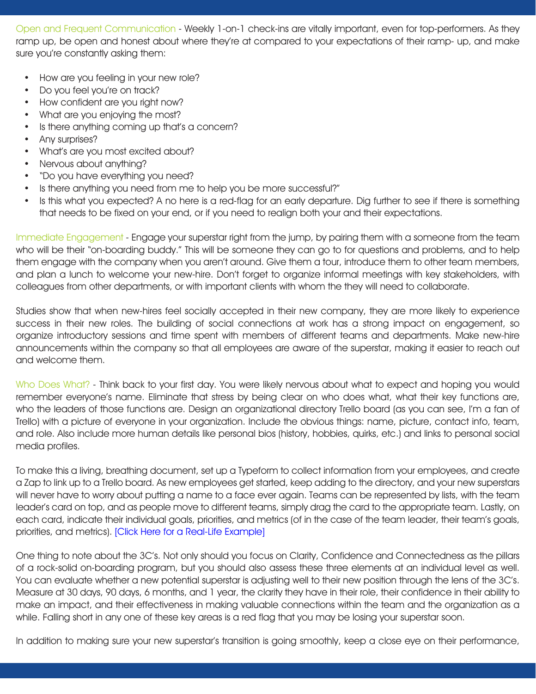Open and Frequent Communication - Weekly 1-on-1 check-ins are vitally important, even for top-performers. As they ramp up, be open and honest about where they're at compared to your expectations of their ramp- up, and make sure you're constantly asking them:

- How are you feeling in your new role?
- Do you feel you're on track?
- How confident are you right now?
- What are you enjoying the most?
- Is there anything coming up that's a concern?
- Any surprises?
- What's are you most excited about?
- Nervous about anything?
- "Do you have everything you need?
- Is there anything you need from me to help you be more successful?"
- Is this what you expected? A no here is a red-flag for an early departure. Dig further to see if there is something that needs to be fixed on your end, or if you need to realign both your and their expectations.

Immediate Engagement - Engage your superstar right from the jump, by pairing them with a someone from the team who will be their "on-boarding buddy." This will be someone they can go to for questions and problems, and to help them engage with the company when you aren't around. Give them a tour, introduce them to other team members, and plan a lunch to welcome your new-hire. Don't forget to organize informal meetings with key stakeholders, with colleagues from other departments, or with important clients with whom the they will need to collaborate.

Studies show that when new-hires feel socially accepted in their new company, they are more likely to experience success in their new roles. The building of social connections at work has a strong impact on engagement, so organize introductory sessions and time spent with members of different teams and departments. Make new-hire announcements within the company so that all employees are aware of the superstar, making it easier to reach out and welcome them.

Who Does What? - Think back to your first day. You were likely nervous about what to expect and hoping you would remember everyone's name. Eliminate that stress by being clear on who does what, what their key functions are, who the leaders of those functions are. Design an organizational directory Trello board (as you can see, I'm a fan of Trello) with a picture of everyone in your organization. Include the obvious things: name, picture, contact info, team, and role. Also include more human details like personal bios (history, hobbies, quirks, etc.) and links to personal social media profiles.

To make this a living, breathing document, set up a Typeform to collect information from your employees, and create a Zap to link up to a Trello board. As new employees get started, keep adding to the directory, and your new superstars will never have to worry about putting a name to a face ever again. Teams can be represented by lists, with the team leader's card on top, and as people move to different teams, simply drag the card to the appropriate team. Lastly, on each card, indicate their individual goals, priorities, and metrics (of in the case of the team leader, their team's goals, priorities, and metrics). [\[Click Here for a Real-Life Example\]](https://blog.trello.com/typeform-company-directory-with-trello) 

One thing to note about the 3C's. Not only should you focus on Clarity, Confidence and Connectedness as the pillars of a rock-solid on-boarding program, but you should also assess these three elements at an individual level as well. You can evaluate whether a new potential superstar is adjusting well to their new position through the lens of the 3C's. Measure at 30 days, 90 days, 6 months, and 1 year, the clarity they have in their role, their confidence in their ability to make an impact, and their effectiveness in making valuable connections within the team and the organization as a while. Falling short in any one of these key areas is a red flag that you may be losing your superstar soon.

In addition to making sure your new superstar's transition is going smoothly, keep a close eye on their performance,